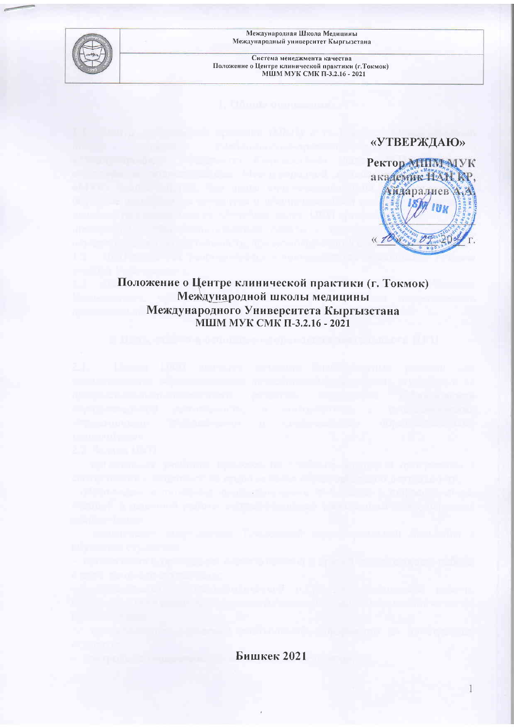

Международная Школа Медицины Международный университет Кыргызстана

Система менеджмента качества Положение о Центре клинической практики (г. Токмок)<br>МШМ МУК СМК П-3.2.16 - 2021

## «УТВЕРЖДАЮ»



1

# Положение о Центре клинической практики (г. Токмок) Международной школы медицины Международного Университета Кыргызстана<br>МШМ МУК СМК П-3.2.16 - 2021

Бишкек 2021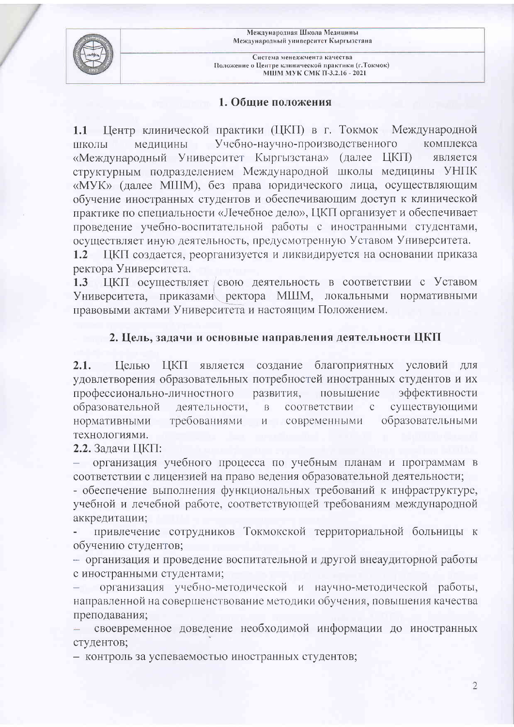Международная Школа Медицины Международный университет Кыргызстана



Система менеджмента качества Положение о Центре клинической практики (г. Токмок) МШМ МУК СМК П-3.2.16 - 2021

#### 1. Общие положения

1.1 Центр клинической практики (ЦКП) в г. Токмок Международной Учебно-научно-производственного комплекса медицины ШКОЛЫ «Международный Университет Кыргызстана» (далее ЦКП) является структурным подразделением Международной школы медицины УНПК «МУК» (далее МШМ), без права юридического лица, осуществляющим обучение иностранных студентов и обеспечивающим доступ к клинической практике по специальности «Лечебное дело», ЦКП организует и обеспечивает проведение учебно-воспитательной работы с иностранными студентами, осуществляет иную деятельность, предусмотренную Уставом Университета.

ЦКП создается, реорганизуется и ликвидируется на основании приказа  $1.2$ ректора Университета.

 $1.3$ ЦКП осуществляет свою деятельность в соответствии с Уставом Университета, приказами ректора МШМ, локальными нормативными правовыми актами Университета и настоящим Положением.

#### 2. Цель, задачи и основные направления деятельности ЦКП

создание благоприятных условий для  $2.1.$ Целью ЦКП является удовлетворения образовательных потребностей иностранных студентов и их профессионально-личностного развития, повышение эффективности существующими образовательной деятельности, соответствии  $\overline{B}$  $\mathbf{C}$ образовательными нормативными требованиями  $\overline{M}$ современными технологиями.

2.2. Задачи ЦКП:

организация учебного процесса по учебным планам и программам в соответствии с лицензией на право ведения образовательной деятельности;

- обеспечение выполнения функциональных требований к инфраструктуре, учебной и лечебной работе, соответствующей требованиям международной аккредитации;

привлечение сотрудников Токмокской территориальной больницы к обучению студентов;

- организация и проведение воспитательной и другой внеаудиторной работы с иностранными студентами;

организация учебно-методической и научно-методической работы, направленной на совершенствование методики обучения, повышения качества преподавания;

своевременное доведение необходимой информации до иностранных студентов;

- контроль за успеваемостью иностранных студентов;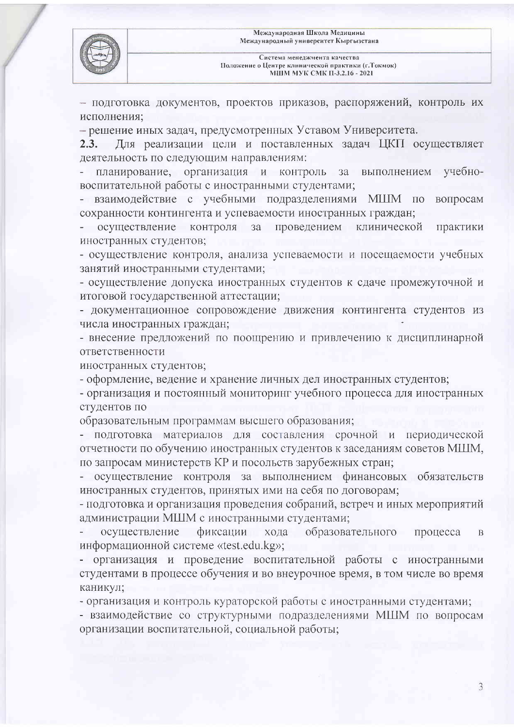

- подготовка документов, проектов приказов, распоряжений, контроль их исполнения;

- решение иных задач, предусмотренных Уставом Университета.

Для реализации цели и поставленных задач ЦКП осуществляет  $2.3.$ деятельность по следующим направлениям:

планирование, организация и контроль  $3a$ выполнением учебновоспитательной работы с иностранными студентами;

- взаимодействие с учебными подразделениями МШМ по вопросам сохранности контингента и успеваемости иностранных граждан;

осуществление контроля  $3a$ проведением клинической практики иностранных студентов;

- осуществление контроля, анализа успеваемости и посещаемости учебных занятий иностранными студентами;

- осуществление допуска иностранных студентов к сдаче промежуточной и итоговой государственной аттестации;

- документационное сопровождение движения контингента студентов из числа иностранных граждан;

- внесение предложений по поощрению и привлечению к дисциплинарной ответственности

иностранных студентов;

- оформление, ведение и хранение личных дел иностранных студентов;

- организация и постоянный мониторинг учебного процесса для иностранных студентов по

образовательным программам высшего образования;

- подготовка материалов для составления срочной и периодической отчетности по обучению иностранных студентов к заседаниям советов МШМ, по запросам министерств КР и посольств зарубежных стран;

- осуществление контроля за выполнением финансовых обязательств иностранных студентов, принятых ими на себя по договорам;

- подготовка и организация проведения собраний, встреч и иных мероприятий администрации МШМ с иностранными студентами;

осуществление фиксации хода **• образовательного** процесса  $\overline{B}$ информационной системе «test.edu.kg»;

- организация и проведение воспитательной работы с иностранными студентами в процессе обучения и во внеурочное время, в том числе во время каникул;

- организация и контроль кураторской работы с иностранными студентами;

- взаимодействие со структурными подразделениями МШМ по вопросам организации воспитательной, социальной работы;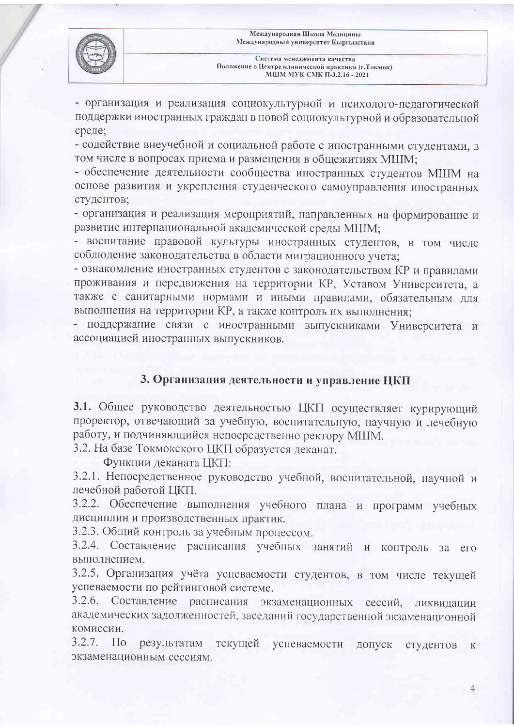

- организация и реализация социокультурной и психолого-педагогической поддержки иностранных граждан в новой социокультурной и образовательной среде:

- содействие внеучебной и социальной работе с иностранными студентами, в том числе в вопросах приема и размещения в общежитиях МШМ;

- обеспечение деятельности сообщества иностранных студентов МШМ на основе развития и укрепления студенческого самоуправления иностранных студентов;

- организация и реализация мероприятий, направленных на формирование и развитие интернациональной академической среды МШМ;

- воспитание правовой культуры иностранных студентов, в том числе соблюдение законодательства в области миграционного учета:

- ознакомление иностранных студентов с законодательством КР и правилами проживания и передвижения на территории КР, Уставом Университета, а также с санитарными нормами и иными правилами, обязательным для выполнения на территории КР, а также контроль их выполнения;

- поддержание связи с иностранными выпускниками Университета и ассоциацией иностранных выпускников.

### 3. Организация деятельности и управление ЦКП

3.1. Общее руководство деятельностью ЦКП осуществляет курирующий проректор, отвечающий за учебную, воспитательную, научную и лечебную работу, и подчиняющийся непосредственно ректору МШМ.

3.2. На базе Токмокского ЦКП образуется деканат.

Функции деканата ЦКП:

3.2.1. Непосредственное руководство учебной, воспитательной, научной и лечебной работой ЦКП.

3.2.2. Обеспечение выполнения учебного плана и программ учебных дисциплин и производственных практик.

3.2.3. Общий контроль за учебным процессом.

3.2.4. Составление расписания учебных занятий и контроль за его выполнением.

3.2.5. Организация учёта успеваемости студентов, в том числе текущей успеваемости по рейтинговой системе.

3.2.6. Составление расписания экзаменационных сессий, ликвидации академических задолженностей, заседаний государственной экзаменационной комиссии.

 $3.2.7.$ текущей успеваемости  $\Pi$ <sub>0</sub> результатам допуск студентов  $\rm K$ экзаменационным сессиям.

 $\mathcal{A}$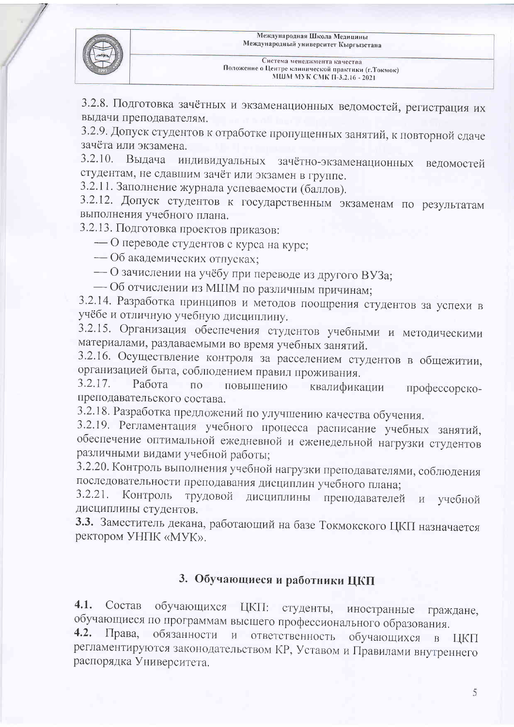

3.2.8. Подготовка зачётных и экзаменационных ведомостей, регистрация их выдачи преподавателям.

3.2.9. Допуск студентов к отработке пропущенных занятий, к повторной сдаче зачёта или экзамена.

 $3.2.10.$ Вылача индивидуальных зачётно-экзаменационных ведомостей студентам, не сдавшим зачёт или экзамен в группе.

3.2.11. Заполнение журнала успеваемости (баллов).

3.2.12. Допуск студентов к государственным экзаменам по результатам выполнения учебного плана.

3.2.13. Подготовка проектов приказов:

- О переводе студентов с курса на курс;

- Об академических отпусках;

- О зачислении на учёбу при переводе из другого ВУЗа;

- Об отчислении из МШМ по различным причинам;

3.2.14. Разработка принципов и методов поощрения студентов за успехи в учёбе и отличную учебную дисциплину.

3.2.15. Организация обеспечения студентов учебными и методическими материалами, раздаваемыми во время учебных занятий.

3.2.16. Осуществление контроля за расселением студентов в общежитии, организацией быта, соблюдением правил проживания.

 $3.2.17.$ Работа  $\overline{10}$ повышению квалификации профессорскопреподавательского состава.

3.2.18. Разработка предложений по улучшению качества обучения.

3.2.19. Регламентация учебного процесса расписание учебных занятий, обеспечение оптимальной ежедневной и еженедельной нагрузки студентов различными видами учебной работы;

3.2.20. Контроль выполнения учебной нагрузки преподавателями, соблюдения последовательности преподавания дисциплин учебного плана;

 $3.2.21.$ дисциплины преподавателей Контроль трудовой и учебной дисциплины студентов.

3.3. Заместитель декана, работающий на базе Токмокского ЦКП назначается ректором УНПК «МУК».

## 3. Обучающиеся и работники ЦКП

 $4.1.$ Состав ЦКП: студенты, обучающихся иностранные граждане, обучающиеся по программам высшего профессионального образования.

обязанности и ответственность  $4.2.$ Права, обучающихся в ЦКП регламентируются законодательством КР, Уставом и Правилами внутреннего распорядка Университета.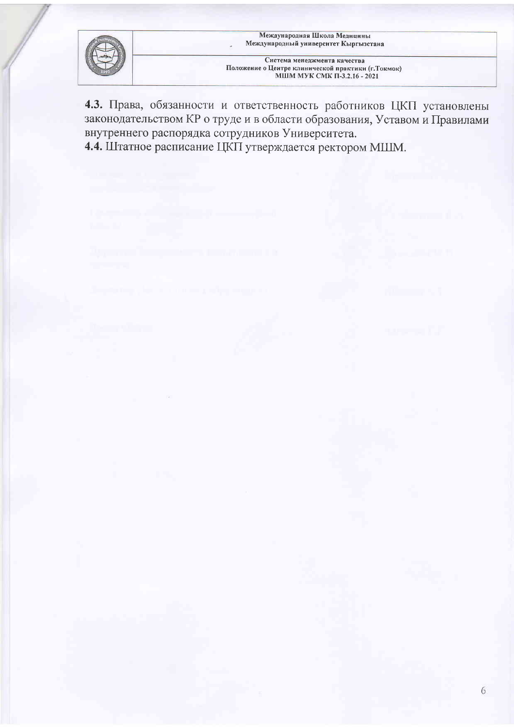

4.3. Права, обязанности и ответственность работников ЦКП установлены законодательством КР о труде и в области образования, Уставом и Правилами внутреннего распорядка сотрудников Университета. 4.4. Штатное расписание ЦКП утверждается ректором МШМ.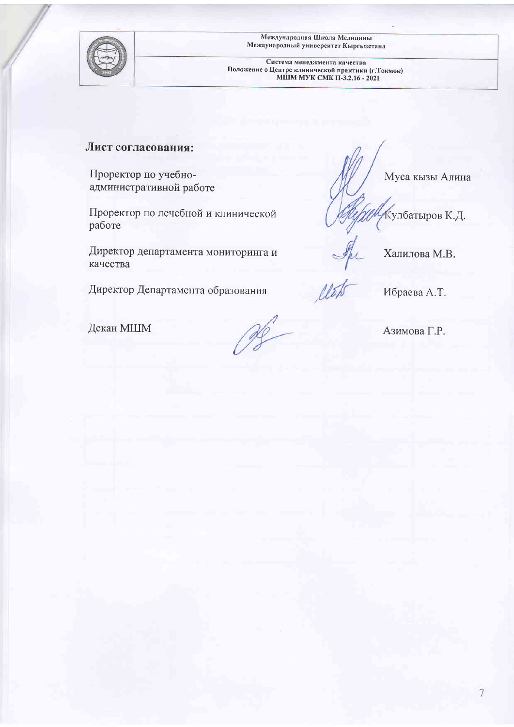

Международная Школа Медицины<br>Международный университет Кыргызстана

Система менеджмента качества Положение о Центре клинической практики (г. Токмок)<br>МШМ МУК СМК П-3.2.16 - 2021

#### Лист согласования:

Проректор по учебноадминистративной работе

Проректор по лечебной и клинической работе

Директор департамента мониторинга и качества

Директор Департамента образования

Муса кызы Алина

Кулбатыров К.Д.

Халилова М.В.

Ибраева А.Т.

Азимова Г.Р.

Декан МШМ